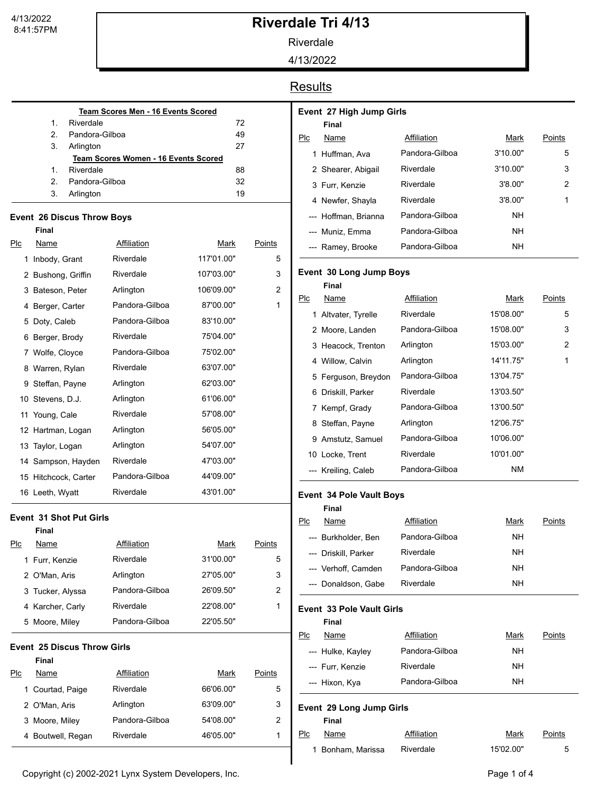# **Riverdale Tri 4/13**

Riverdale

4/13/2022

### **Results**

| <b>Team Scores Men - 16 Events Scored</b>   |                |    |  |  |  |
|---------------------------------------------|----------------|----|--|--|--|
| 1.                                          | Riverdale      | 72 |  |  |  |
| $\mathcal{P}$                               | Pandora-Gilboa | 49 |  |  |  |
| 3.                                          | Arlington      | 27 |  |  |  |
| <b>Team Scores Women - 16 Events Scored</b> |                |    |  |  |  |
| 1                                           | Riverdale      | 88 |  |  |  |
| 2                                           | Pandora-Gilboa | 32 |  |  |  |
| 3.                                          | Arlington      | 19 |  |  |  |
|                                             |                |    |  |  |  |

#### **Event 26 Discus Throw Boys**

|                    | <b>Final</b>                       |                    |             |               |
|--------------------|------------------------------------|--------------------|-------------|---------------|
| PLC                | <b>Name</b>                        | <b>Affiliation</b> | <u>Mark</u> | <u>Points</u> |
|                    | 1 Inbody, Grant                    | Riverdale          | 117'01.00"  | 5             |
|                    | 2 Bushong, Griffin                 | Riverdale          | 107'03.00"  | 3             |
|                    | 3 Bateson, Peter                   | Arlington          | 106'09.00"  | 2             |
|                    | 4 Berger, Carter                   | Pandora-Gilboa     | 87'00.00"   | 1             |
|                    | 5 Doty, Caleb                      | Pandora-Gilboa     | 83'10.00"   |               |
|                    | 6 Berger, Brody                    | Riverdale          | 75'04.00"   |               |
|                    | 7 Wolfe, Cloyce                    | Pandora-Gilboa     | 75'02.00"   |               |
|                    | 8 Warren, Rylan                    | Riverdale          | 63'07.00"   |               |
|                    | 9 Steffan, Payne                   | Arlington          | 62'03.00"   |               |
|                    | 10 Stevens, D.J.                   | Arlington          | 61'06.00"   |               |
|                    | 11 Young, Cale                     | Riverdale          | 57'08.00"   |               |
|                    | 12 Hartman, Logan                  | Arlington          | 56'05.00"   |               |
| 13 Taylor, Logan   |                                    | Arlington          | 54'07.00"   |               |
| 14 Sampson, Hayden |                                    | Riverdale          | 47'03.00"   |               |
|                    | 15 Hitchcock, Carter               | Pandora-Gilboa     | 44'09.00"   |               |
|                    | 16 Leeth, Wyatt                    | Riverdale          | 43'01.00"   |               |
|                    | <b>Event 31 Shot Put Girls</b>     |                    |             |               |
|                    | Final                              |                    |             |               |
| Plc                | Name                               | Affiliation        | Mark        | Points        |
|                    | 1 Furr, Kenzie                     | Riverdale          | 31'00.00"   | 5             |
|                    | 2 O'Man, Aris                      | Arlington          | 27'05.00"   | 3             |
|                    | 3 Tucker, Alyssa                   | Pandora-Gilboa     | 26'09.50"   | 2             |
|                    |                                    |                    |             |               |
|                    | 4 Karcher, Carly                   | Riverdale          | 22'08.00"   | 1             |
|                    | 5 Moore, Miley                     | Pandora-Gilboa     | 22'05.50"   |               |
|                    | <b>Event 25 Discus Throw Girls</b> |                    |             |               |
|                    | <b>Final</b>                       |                    |             |               |
| Plc                | <u>Name</u>                        | <b>Affiliation</b> | <u>Mark</u> | <b>Points</b> |
|                    | 1 Courtad, Paige                   | Riverdale          | 66'06.00"   | 5             |
|                    | 2  O'Man, Aris                     | Arlington          | 63'09.00"   | 3             |
|                    | 3 Moore, Miley                     | Pandora-Gilboa     | 54'08.00"   | 2             |

|     | Final                |                |          |        |
|-----|----------------------|----------------|----------|--------|
| Plc | Name                 | Affiliation    | Mark     | Points |
|     | 1 Huffman, Ava       | Pandora-Gilboa | 3'10.00" | 5      |
|     | 2 Shearer, Abigail   | Riverdale      | 3'10.00" | 3      |
|     | 3 Furr, Kenzie       | Riverdale      | 3'8.00"  | 2      |
|     | 4 Newfer, Shayla     | Riverdale      | 3'8.00"  | 1      |
|     | --- Hoffman, Brianna | Pandora-Gilboa | NΗ       |        |
|     | --- Muniz, Emma      | Pandora-Gilboa | NΗ       |        |
|     | --- Ramey, Brooke    | Pandora-Gilboa | NΗ       |        |

#### **Event 30 Long Jump Boys**

**Event 27 High Jump Girls**

|     | Final               |                |           |        |
|-----|---------------------|----------------|-----------|--------|
| Plc | Name                | Affiliation    | Mark      | Points |
|     | 1 Altvater, Tyrelle | Riverdale      | 15'08.00" | 5      |
|     | 2 Moore, Landen     | Pandora-Gilboa | 15'08.00" | 3      |
|     | 3 Heacock, Trenton  | Arlington      | 15'03.00" | 2      |
|     | 4 Willow, Calvin    | Arlington      | 14'11.75" | 1      |
|     | 5 Ferguson, Breydon | Pandora-Gilboa | 13'04.75" |        |
| 6   | Driskill, Parker    | Riverdale      | 13'03.50" |        |
|     | 7 Kempf, Grady      | Pandora-Gilboa | 13'00.50" |        |
| 8   | Steffan, Payne      | Arlington      | 12'06.75" |        |
| 9   | Amstutz, Samuel     | Pandora-Gilboa | 10'06.00" |        |
|     | 10 Locke, Trent     | Riverdale      | 10'01.00" |        |
|     | Kreiling, Caleb     | Pandora-Gilboa | <b>NM</b> |        |
|     |                     |                |           |        |

#### **Event 34 Pole Vault Boys**

|     | Final                |                |      |        |
|-----|----------------------|----------------|------|--------|
| Plc | Name                 | Affiliation    | Mark | Points |
|     | --- Burkholder, Ben  | Pandora-Gilboa | NΗ   |        |
|     | --- Driskill. Parker | Riverdale      | NΗ   |        |
|     | --- Verhoff, Camden  | Pandora-Gilboa | NΗ   |        |
|     | --- Donaldson. Gabe  | Riverdale      | NΗ   |        |

#### **Event 33 Pole Vault Girls**

|     | Final             |                |           |        |
|-----|-------------------|----------------|-----------|--------|
| Plc | Name              | Affiliation    | Mark      | Points |
|     | --- Hulke, Kayley | Pandora-Gilboa | <b>NH</b> |        |
|     | --- Furr, Kenzie  | Riverdale      | <b>NH</b> |        |
|     | --- Hixon, Kya    | Pandora-Gilboa | NΗ        |        |
|     |                   |                |           |        |

#### **Event 29 Long Jump Girls**

**Final**

| Plc | Name              | Affiliation | Mark      | Points |
|-----|-------------------|-------------|-----------|--------|
|     | 1 Bonham, Marissa | Riverdale   | 15'02.00" | 5      |

Copyright (c) 2002-2021 Lynx System Developers, Inc. example 2008 and the Copyright (c) 2002-2021 Lynx System Developers, Inc.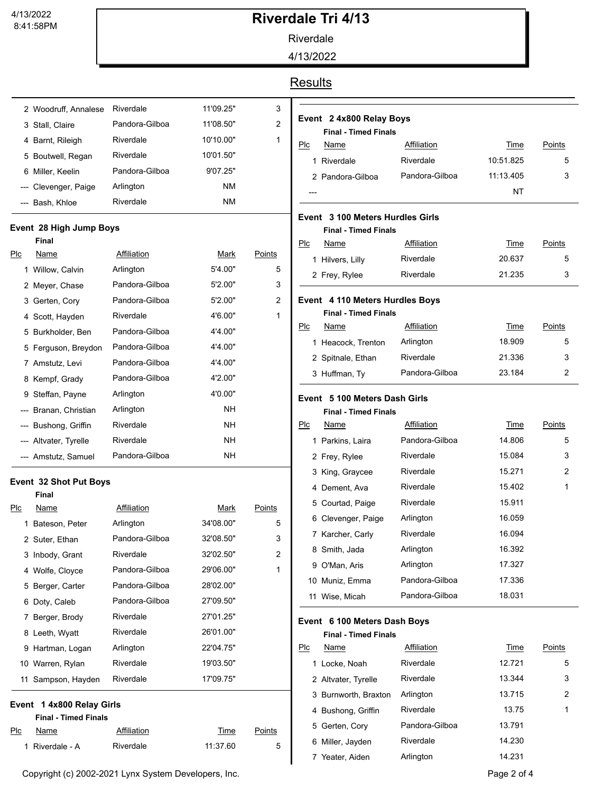## **Riverdale Tri 4/13**

Riverdale

4/13/2022

### **Results**

|   | 2 Woodruff, Annalese | Riverdale      | 11'09.25" | 3 |
|---|----------------------|----------------|-----------|---|
|   | 3 Stall, Claire      | Pandora-Gilboa | 11'08.50" | 2 |
|   | 4 Barnt, Rileigh     | Riverdale      | 10'10.00" | 1 |
|   | 5 Boutwell, Regan    | Riverdale      | 10'01.50" |   |
| 6 | Miller. Keelin       | Pandora-Gilboa | 9'07.25"  |   |
|   | --- Clevenger, Paige | Arlington      | ΝM        |   |
|   | Bash, Khloe          | Riverdale      | ΝM        |   |

#### **Event 28 High Jump Boys**

|     | Final                 |                |           |        |
|-----|-----------------------|----------------|-----------|--------|
| Plc | Name                  | Affiliation    | Mark      | Points |
|     | 1 Willow, Calvin      | Arlington      | 5'4.00"   | 5      |
|     | 2 Meyer, Chase        | Pandora-Gilboa | 5'2.00"   | 3      |
|     | 3 Gerten, Cory        | Pandora-Gilboa | 5'2.00"   | 2      |
|     | 4 Scott, Hayden       | Riverdale      | 4'6.00"   | 1      |
|     | 5 Burkholder, Ben     | Pandora-Gilboa | 4'4.00"   |        |
|     | 5 Ferguson, Breydon   | Pandora-Gilboa | 4'4.00"   |        |
|     | 7 Amstutz, Levi       | Pandora-Gilboa | 4'4.00"   |        |
|     | 8 Kempf, Grady        | Pandora-Gilboa | 4'2.00"   |        |
|     | 9 Steffan, Payne      | Arlington      | 4'0.00"   |        |
|     | --- Branan, Christian | Arlington      | NH.       |        |
|     | --- Bushong, Griffin  | Riverdale      | NH.       |        |
|     | --- Altvater, Tyrelle | Riverdale      | <b>NH</b> |        |
|     | --- Amstutz, Samuel   | Pandora-Gilboa | NΗ        |        |

#### **Event 32 Shot Put Boys**

|     | Final                       |                |           |        |
|-----|-----------------------------|----------------|-----------|--------|
| Plc | Name                        | Affiliation    | Mark      | Points |
| 1   | Bateson, Peter              | Arlington      | 34'08.00" | 5      |
|     | 2 Suter, Ethan              | Pandora-Gilboa | 32'08.50" | 3      |
|     | 3 Inbody, Grant             | Riverdale      | 32'02.50" | 2      |
|     | 4 Wolfe, Cloyce             | Pandora-Gilboa | 29'06.00" | 1      |
|     | 5 Berger, Carter            | Pandora-Gilboa | 28'02.00" |        |
|     | 6 Doty, Caleb               | Pandora-Gilboa | 27'09.50" |        |
| 7.  | Berger, Brody               | Riverdale      | 27'01.25" |        |
|     | 8 Leeth, Wyatt              | Riverdale      | 26'01.00" |        |
|     | 9 Hartman, Logan            | Arlington      | 22'04.75" |        |
|     | 10 Warren, Rylan            | Riverdale      | 19'03.50" |        |
|     | 11 Sampson, Hayden          | Riverdale      | 17'09.75" |        |
|     | Event 1 4x800 Relay Girls   |                |           |        |
|     | <b>Final - Timed Finals</b> |                |           |        |
| Plc | Name                        | Affiliation    | Time      | Points |
| 1   | Riverdale - A               | Riverdale      | 11:37.60  | 5      |

| Event 2 4x800 Relay Boys<br><b>Final - Timed Finals</b> |                |           |        |  |  |
|---------------------------------------------------------|----------------|-----------|--------|--|--|
| Name<br>Plc                                             | Affiliation    | Time      | Points |  |  |
| 1 Riverdale                                             | Riverdale      | 10:51.825 | 5      |  |  |
| 2 Pandora-Gilboa                                        | Pandora-Gilboa | 11:13.405 | 3      |  |  |
|                                                         |                | NT        |        |  |  |

#### **Event 3 100 Meters Hurdles Girls**

|  | <b>Final - Timed Finals</b> |  |
|--|-----------------------------|--|
|  |                             |  |

| $P_{\text{L}}$<br>Name |                  | Affiliation | Time   | Points |
|------------------------|------------------|-------------|--------|--------|
|                        | 1 Hilvers, Lilly | Riverdale   | 20.637 | 5      |
|                        | 2 Frey, Rylee    | Riverdale   | 21.235 | 3      |

#### **Event 4 110 Meters Hurdles Boys**

|     | <b>Final - Timed Finals</b> |                |        |        |
|-----|-----------------------------|----------------|--------|--------|
| Plc | Name                        | Affiliation    | Time   | Points |
|     | 1 Heacock, Trenton          | Arlington      | 18.909 | 5      |
|     | 2 Spitnale, Ethan           | Riverdale      | 21.336 | 3      |
|     | 3 Huffman, Ty               | Pandora-Gilboa | 23.184 | 2      |

#### **Event 5 100 Meters Dash Girls**

**Final - Timed Finals**

| Plc | Name             | Affiliation    | Time   | Points |
|-----|------------------|----------------|--------|--------|
|     | 1 Parkins, Laira | Pandora-Gilboa | 14.806 | 5      |
|     | 2 Frey, Rylee    | Riverdale      | 15.084 | 3      |
|     | 3 King, Graycee  | Riverdale      | 15.271 | 2      |
|     | 4 Dement, Ava    | Riverdale      | 15.402 | 1      |
|     | 5 Courtad, Paige | Riverdale      | 15.911 |        |
| 6   | Clevenger, Paige | Arlington      | 16.059 |        |
|     | 7 Karcher, Carly | Riverdale      | 16.094 |        |
|     | 8 Smith, Jada    | Arlington      | 16.392 |        |
|     | 9 O'Man, Aris    | Arlington      | 17.327 |        |
|     | 10 Muniz, Emma   | Pandora-Gilboa | 17.336 |        |
|     | 11 Wise, Micah   | Pandora-Gilboa | 18.031 |        |

#### **Event 6 100 Meters Dash Boys**

**Final - Timed Finals**

| Plc | Name                 | Affiliation    | Time   | Points |
|-----|----------------------|----------------|--------|--------|
| 1.  | Locke, Noah          | Riverdale      | 12721  | 5      |
|     | 2 Altvater, Tyrelle  | Riverdale      | 13.344 | 3      |
|     | 3 Burnworth, Braxton | Arlington      | 13.715 | 2      |
|     | 4 Bushong, Griffin   | Riverdale      | 13.75  | 1      |
|     | 5 Gerten, Cory       | Pandora-Gilboa | 13.791 |        |
| 6   | Miller, Jayden       | Riverdale      | 14.230 |        |
|     | Yeater, Aiden        | Arlington      | 14.231 |        |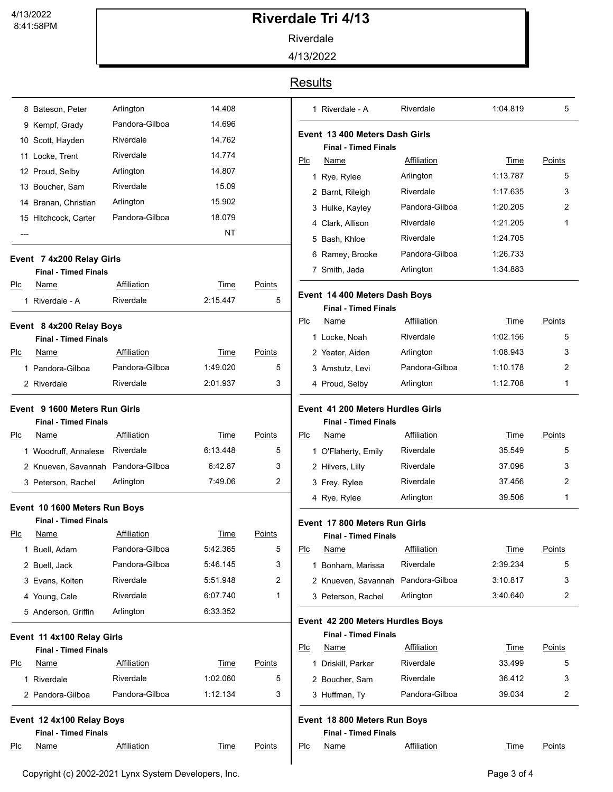8:41:58PM 4/13/2022

# **Riverdale Tri 4/13**

Riverdale

4/13/2022

### **Results**

|     | 8 Bateson, Peter                   | Arlington      | 14.408      |               |     |
|-----|------------------------------------|----------------|-------------|---------------|-----|
|     | 9 Kempf, Grady                     | Pandora-Gilboa | 14.696      |               |     |
|     | 10 Scott, Hayden                   | Riverdale      | 14.762      |               | Eve |
|     | 11 Locke, Trent                    | Riverdale      | 14.774      |               | Plc |
|     | 12 Proud, Selby                    | Arlington      | 14.807      |               |     |
|     | 13 Boucher, Sam                    | Riverdale      | 15.09       |               |     |
|     | 14 Branan, Christian               | Arlington      | 15.902      |               |     |
|     | 15 Hitchcock, Carter               | Pandora-Gilboa | 18.079      |               |     |
| --- |                                    |                | NΤ          |               |     |
|     | Event 7 4x200 Relay Girls          |                |             |               |     |
|     | <b>Final - Timed Finals</b>        |                |             |               |     |
| Plc | Name                               | Affiliation    | Time        | Points        | Eve |
|     | 1 Riverdale - A                    | Riverdale      | 2:15.447    | 5             |     |
|     | Event 8 4x200 Relay Boys           |                |             |               | Plc |
|     | <b>Final - Timed Finals</b>        |                |             |               |     |
| Plc | Name                               | Affiliation    | Time        | Points        |     |
|     | 1 Pandora-Gilboa                   | Pandora-Gilboa | 1:49.020    | 5             |     |
|     | 2 Riverdale                        | Riverdale      | 2:01.937    | 3             |     |
|     | Event 9 1600 Meters Run Girls      |                |             |               | Eve |
|     | <b>Final - Timed Finals</b>        |                |             |               |     |
| Plc | Name                               | Affiliation    | Time        | Points        | Plc |
|     | 1 Woodruff, Annalese               | Riverdale      | 6:13.448    | 5             |     |
|     | 2 Knueven, Savannah Pandora-Gilboa |                | 6:42.87     | 3             |     |
|     | 3 Peterson, Rachel                 | Arlington      | 7:49.06     | 2             |     |
|     | Event 10 1600 Meters Run Boys      |                |             |               |     |
|     | <b>Final - Timed Finals</b>        |                |             |               | Eve |
| Plc | Name                               | Affiliation    | Time        | <b>Points</b> |     |
|     | 1 Buell, Adam                      | Pandora-Gilboa | 5:42.365    | 5             | PLC |
|     | 2 Buell, Jack                      | Pandora-Gilboa | 5:46.145    | 3             |     |
|     | 3 Evans, Kolten                    | Riverdale      | 5:51.948    | 2             |     |
|     | 4 Young, Cale                      | Riverdale      | 6:07.740    | 1             |     |
|     | 5 Anderson, Griffin                | Arlington      | 6:33.352    |               | Eve |
|     | Event 11 4x100 Relay Girls         |                |             |               |     |
|     | <b>Final - Timed Finals</b>        |                |             |               | Plc |
| Plc | Name                               | Affiliation    | Time        | Points        |     |
|     | 1 Riverdale                        | Riverdale      | 1:02.060    | 5             |     |
|     | 2 Pandora-Gilboa                   | Pandora-Gilboa | 1:12.134    | 3             |     |
|     | Event 12 4x100 Relay Boys          |                |             |               | Eve |
|     | <b>Final - Timed Finals</b>        |                |             |               |     |
| PLC | Name                               | Affiliation    | <b>Time</b> | <b>Points</b> | PLC |

|     | 1 Riverdale - A                                                 | Riverdale                       | 1:04.819                | 5                  |
|-----|-----------------------------------------------------------------|---------------------------------|-------------------------|--------------------|
|     | Event  13 400 Meters Dash Girls<br><b>Final - Timed Finals</b>  |                                 |                         |                    |
| Plc | Name                                                            | Affiliation                     | Time                    | Points             |
|     | 1 Rye, Rylee                                                    | Arlington                       | 1:13.787                | 5                  |
|     | 2 Barnt, Rileigh                                                | Riverdale                       | 1:17.635                | 3                  |
|     | 3 Hulke, Kayley                                                 | Pandora-Gilboa                  | 1:20.205                | 2                  |
|     | 4 Clark, Allison                                                | Riverdale                       | 1:21.205                | 1                  |
|     | 5 Bash, Khloe                                                   | Riverdale                       | 1:24.705                |                    |
|     | 6 Ramey, Brooke                                                 | Pandora-Gilboa                  | 1:26.733                |                    |
|     | 7 Smith, Jada                                                   | Arlington                       | 1:34.883                |                    |
|     | Event 14 400 Meters Dash Boys                                   |                                 |                         |                    |
| Plc | <b>Final - Timed Finals</b><br><u>Name</u>                      | <b>Affiliation</b>              | Time                    | Points             |
|     | 1 Locke, Noah                                                   | Riverdale                       | 1:02.156                | 5                  |
|     | 2 Yeater, Aiden                                                 | Arlington                       | 1:08.943                | 3                  |
|     | 3 Amstutz, Levi                                                 | Pandora-Gilboa                  | 1:10.178                | 2                  |
|     | 4 Proud, Selby                                                  | Arlington                       | 1:12.708                | 1                  |
| PLC | <b>Final - Timed Finals</b><br>Name                             | <b>Affiliation</b>              | Time                    | Points             |
|     | 1 O'Flaherty, Emily                                             | Riverdale                       | 35.549                  | 5                  |
|     | 2 Hilvers, Lilly                                                | Riverdale                       | 37.096                  | 3                  |
|     | 3 Frey, Rylee                                                   | Riverdale                       | 37.456                  | 2                  |
|     | 4 Rye, Rylee                                                    | Arlington                       | 39.506                  | 1                  |
|     | Event 17 800 Meters Run Girls                                   |                                 |                         |                    |
|     | <b>Final - Timed Finals</b>                                     |                                 |                         |                    |
| Plc | <u>Name</u>                                                     | <b>Affiliation</b><br>Riverdale | <u>Time</u><br>2:39.234 | <u>Points</u><br>5 |
|     | 1 Bonham, Marissa                                               |                                 | 3:10.817                | 3                  |
|     | 2 Knueven, Savannah Pandora-Gilboa                              | Arlington                       | 3:40.640                | 2                  |
|     | 3 Peterson, Rachel                                              |                                 |                         |                    |
|     | Event 42 200 Meters Hurdles Boys<br><b>Final - Timed Finals</b> |                                 |                         |                    |
| Plc | Name                                                            | <b>Affiliation</b>              | <u>Time</u>             | <u>Points</u>      |
|     | 1 Driskill, Parker                                              | Riverdale                       | 33.499                  | 5                  |
|     |                                                                 | Riverdale                       | 36.412                  | 3                  |
|     | 2 Boucher, Sam                                                  |                                 |                         |                    |

Name **Affiliation Time** Points

I

**Time**